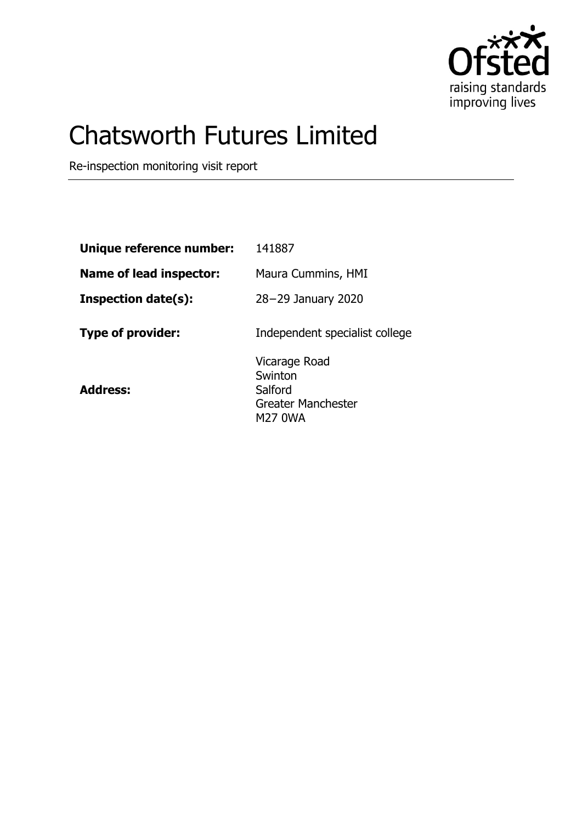

# Chatsworth Futures Limited

Re-inspection monitoring visit report

| Unique reference number:       | 141887                                                                      |
|--------------------------------|-----------------------------------------------------------------------------|
| <b>Name of lead inspector:</b> | Maura Cummins, HMI                                                          |
| <b>Inspection date(s):</b>     | 28-29 January 2020                                                          |
| <b>Type of provider:</b>       | Independent specialist college                                              |
| <b>Address:</b>                | Vicarage Road<br>Swinton<br>Salford<br>Greater Manchester<br><b>M27 0WA</b> |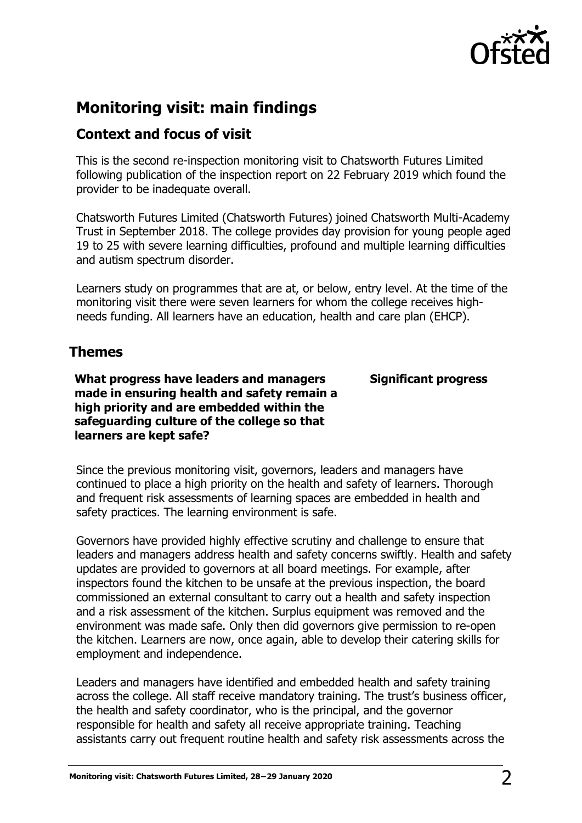

# **Monitoring visit: main findings**

## **Context and focus of visit**

This is the second re-inspection monitoring visit to Chatsworth Futures Limited following publication of the inspection report on 22 February 2019 which found the provider to be inadequate overall.

Chatsworth Futures Limited (Chatsworth Futures) joined Chatsworth Multi-Academy Trust in September 2018. The college provides day provision for young people aged 19 to 25 with severe learning difficulties, profound and multiple learning difficulties and autism spectrum disorder.

Learners study on programmes that are at, or below, entry level. At the time of the monitoring visit there were seven learners for whom the college receives highneeds funding. All learners have an education, health and care plan (EHCP).

### **Themes**

**What progress have leaders and managers made in ensuring health and safety remain a high priority and are embedded within the safeguarding culture of the college so that learners are kept safe?**

**Significant progress**

Since the previous monitoring visit, governors, leaders and managers have continued to place a high priority on the health and safety of learners. Thorough and frequent risk assessments of learning spaces are embedded in health and safety practices. The learning environment is safe.

Governors have provided highly effective scrutiny and challenge to ensure that leaders and managers address health and safety concerns swiftly. Health and safety updates are provided to governors at all board meetings. For example, after inspectors found the kitchen to be unsafe at the previous inspection, the board commissioned an external consultant to carry out a health and safety inspection and a risk assessment of the kitchen. Surplus equipment was removed and the environment was made safe. Only then did governors give permission to re-open the kitchen. Learners are now, once again, able to develop their catering skills for employment and independence.

Leaders and managers have identified and embedded health and safety training across the college. All staff receive mandatory training. The trust's business officer, the health and safety coordinator, who is the principal, and the governor responsible for health and safety all receive appropriate training. Teaching assistants carry out frequent routine health and safety risk assessments across the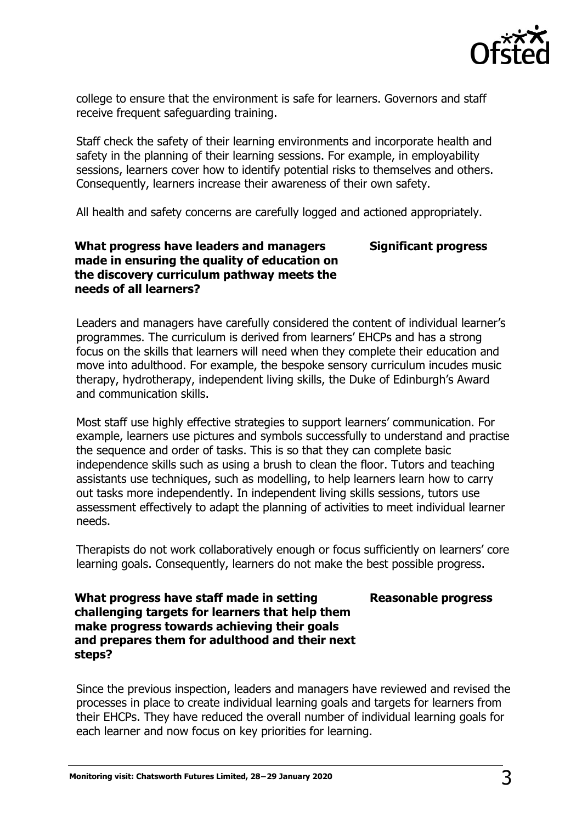

college to ensure that the environment is safe for learners. Governors and staff receive frequent safeguarding training.

Staff check the safety of their learning environments and incorporate health and safety in the planning of their learning sessions. For example, in employability sessions, learners cover how to identify potential risks to themselves and others. Consequently, learners increase their awareness of their own safety.

All health and safety concerns are carefully logged and actioned appropriately.

#### **What progress have leaders and managers made in ensuring the quality of education on the discovery curriculum pathway meets the needs of all learners? Significant progress**

Leaders and managers have carefully considered the content of individual learner's programmes. The curriculum is derived from learners' EHCPs and has a strong focus on the skills that learners will need when they complete their education and move into adulthood. For example, the bespoke sensory curriculum incudes music therapy, hydrotherapy, independent living skills, the Duke of Edinburgh's Award and communication skills.

Most staff use highly effective strategies to support learners' communication. For example, learners use pictures and symbols successfully to understand and practise the sequence and order of tasks. This is so that they can complete basic independence skills such as using a brush to clean the floor. Tutors and teaching assistants use techniques, such as modelling, to help learners learn how to carry out tasks more independently. In independent living skills sessions, tutors use assessment effectively to adapt the planning of activities to meet individual learner needs.

Therapists do not work collaboratively enough or focus sufficiently on learners' core learning goals. Consequently, learners do not make the best possible progress.

#### **Reasonable progress**

#### **What progress have staff made in setting challenging targets for learners that help them make progress towards achieving their goals and prepares them for adulthood and their next steps?**

Since the previous inspection, leaders and managers have reviewed and revised the processes in place to create individual learning goals and targets for learners from their EHCPs. They have reduced the overall number of individual learning goals for each learner and now focus on key priorities for learning.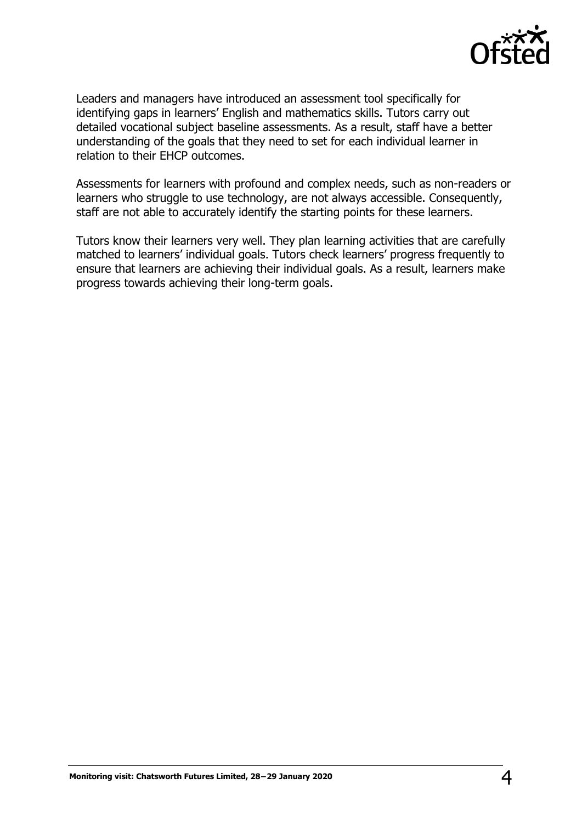

Leaders and managers have introduced an assessment tool specifically for identifying gaps in learners' English and mathematics skills. Tutors carry out detailed vocational subject baseline assessments. As a result, staff have a better understanding of the goals that they need to set for each individual learner in relation to their EHCP outcomes.

Assessments for learners with profound and complex needs, such as non-readers or learners who struggle to use technology, are not always accessible. Consequently, staff are not able to accurately identify the starting points for these learners.

Tutors know their learners very well. They plan learning activities that are carefully matched to learners' individual goals. Tutors check learners' progress frequently to ensure that learners are achieving their individual goals. As a result, learners make progress towards achieving their long-term goals.